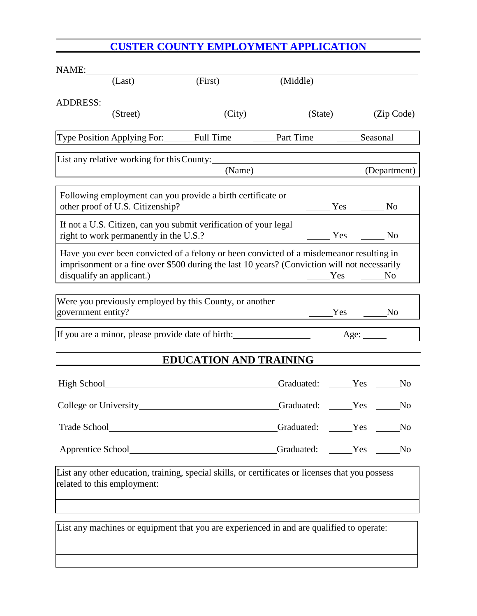## **CUSTER COUNTY EMPLOYMENT APPLICATION**

| NAME:                                                                                                                                                                                                                 |                               |                |        |                |
|-----------------------------------------------------------------------------------------------------------------------------------------------------------------------------------------------------------------------|-------------------------------|----------------|--------|----------------|
| (Last)                                                                                                                                                                                                                | (First)                       | (Middle)       |        |                |
| ADDRESS:                                                                                                                                                                                                              |                               |                |        |                |
| (Street)                                                                                                                                                                                                              | (City)                        | (State)        |        | (Zip Code)     |
| Type Position Applying For: Full Time                                                                                                                                                                                 |                               | Part Time      |        | Seasonal       |
| List any relative working for this County:                                                                                                                                                                            |                               |                |        |                |
|                                                                                                                                                                                                                       | (Name)                        |                |        | (Department)   |
| Following employment can you provide a birth certificate or<br>other proof of U.S. Citizenship?                                                                                                                       |                               |                | Yes No |                |
| If not a U.S. Citizen, can you submit verification of your legal<br>right to work permanently in the U.S.?                                                                                                            |                               |                | Yes    | N <sub>o</sub> |
| Have you ever been convicted of a felony or been convicted of a misdemeanor resulting in<br>imprisonment or a fine over \$500 during the last 10 years? (Conviction will not necessarily<br>disqualify an applicant.) |                               |                | Yes    | N <sub>0</sub> |
| Were you previously employed by this County, or another<br>government entity?                                                                                                                                         |                               |                |        | N <sub>o</sub> |
|                                                                                                                                                                                                                       |                               |                |        |                |
|                                                                                                                                                                                                                       | <b>EDUCATION AND TRAINING</b> |                |        |                |
|                                                                                                                                                                                                                       |                               | Graduated: Yes |        | N <sub>0</sub> |
| College or University                                                                                                                                                                                                 |                               | Graduated:     | Yes    | N <sub>0</sub> |
|                                                                                                                                                                                                                       |                               | Graduated: Yes |        | No             |
| Apprentice School____________________________Graduated: _____Yes _____No                                                                                                                                              |                               |                |        |                |
| List any other education, training, special skills, or certificates or licenses that you possess                                                                                                                      |                               |                |        |                |
|                                                                                                                                                                                                                       |                               |                |        |                |
| List any machines or equipment that you are experienced in and are qualified to operate:                                                                                                                              |                               |                |        |                |
|                                                                                                                                                                                                                       |                               |                |        |                |